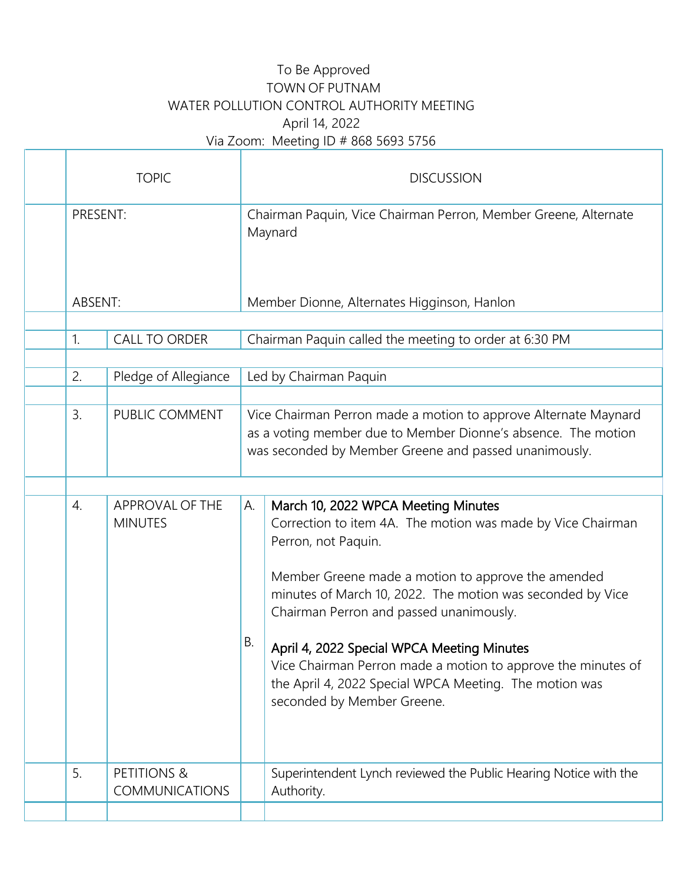## To Be Approved TOWN OF PUTNAM WATER POLLUTION CONTROL AUTHORITY MEETING April 14, 2022 Via Zoom: Meeting ID # 868 5693 5756

 $\mathbb{I}$ 

| <b>TOPIC</b>               |                                      |                                                                            | <b>DISCUSSION</b>                                                                                                                                                                                                                                                                                                                                                                                                                                                                              |  |  |
|----------------------------|--------------------------------------|----------------------------------------------------------------------------|------------------------------------------------------------------------------------------------------------------------------------------------------------------------------------------------------------------------------------------------------------------------------------------------------------------------------------------------------------------------------------------------------------------------------------------------------------------------------------------------|--|--|
| PRESENT:                   |                                      | Chairman Paquin, Vice Chairman Perron, Member Greene, Alternate<br>Maynard |                                                                                                                                                                                                                                                                                                                                                                                                                                                                                                |  |  |
| ABSENT:                    |                                      | Member Dionne, Alternates Higginson, Hanlon                                |                                                                                                                                                                                                                                                                                                                                                                                                                                                                                                |  |  |
| 1.<br><b>CALL TO ORDER</b> |                                      | Chairman Paquin called the meeting to order at 6:30 PM                     |                                                                                                                                                                                                                                                                                                                                                                                                                                                                                                |  |  |
| Pledge of Allegiance<br>2. |                                      | Led by Chairman Paquin                                                     |                                                                                                                                                                                                                                                                                                                                                                                                                                                                                                |  |  |
| 3.                         | PUBLIC COMMENT                       |                                                                            | Vice Chairman Perron made a motion to approve Alternate Maynard<br>as a voting member due to Member Dionne's absence. The motion<br>was seconded by Member Greene and passed unanimously.                                                                                                                                                                                                                                                                                                      |  |  |
|                            |                                      |                                                                            |                                                                                                                                                                                                                                                                                                                                                                                                                                                                                                |  |  |
| 4.                         | APPROVAL OF THE<br><b>MINUTES</b>    | А.<br>В.                                                                   | March 10, 2022 WPCA Meeting Minutes<br>Correction to item 4A. The motion was made by Vice Chairman<br>Perron, not Paquin.<br>Member Greene made a motion to approve the amended<br>minutes of March 10, 2022. The motion was seconded by Vice<br>Chairman Perron and passed unanimously.<br>April 4, 2022 Special WPCA Meeting Minutes<br>Vice Chairman Perron made a motion to approve the minutes of<br>the April 4, 2022 Special WPCA Meeting. The motion was<br>seconded by Member Greene. |  |  |
| 5.                         | PETITIONS &<br><b>COMMUNICATIONS</b> |                                                                            | Superintendent Lynch reviewed the Public Hearing Notice with the<br>Authority.                                                                                                                                                                                                                                                                                                                                                                                                                 |  |  |
|                            |                                      |                                                                            |                                                                                                                                                                                                                                                                                                                                                                                                                                                                                                |  |  |